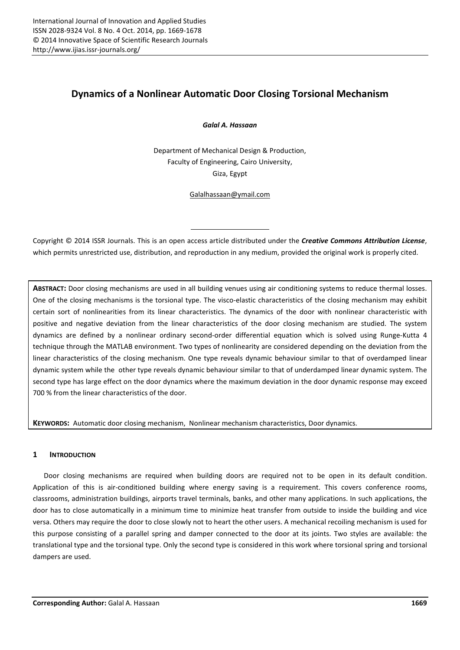# Dynamics of a Nonlinear Automatic Door Closing Torsional Mechanism

*Galal A. Hassaan*

Department of Mechanical Design & Production, Faculty of Engineering, Cairo University, Giza, Egypt

Galalhassaan@ymail.com

Copyright © 2014 ISSR Journals. This is an open access article distributed under the *Creative Commons Attribution License*, which permits unrestricted use, distribution, and reproduction in any medium, provided the original work is properly cited.

ABSTRACT: Door closing mechanisms are used in all building venues using air conditioning systems to reduce thermal losses. One of the closing mechanisms is the torsional type. The visco-elastic characteristics of the closing mechanism may exhibit certain sort of nonlinearities from its linear characteristics. The dynamics of the door with nonlinear characteristic with positive and negative deviation from the linear characteristics of the door closing mechanism are studied. The system dynamics are defined by a nonlinear ordinary second-order differential equation which is solved using Runge-Kutta 4 technique through the MATLAB environment. Two types of nonlinearity are considered depending on the deviation from the linear characteristics of the closing mechanism. One type reveals dynamic behaviour similar to that of overdamped linear dynamic system while the other type reveals dynamic behaviour similar to that of underdamped linear dynamic system. The second type has large effect on the door dynamics where the maximum deviation in the door dynamic response may exceed 700 % from the linear characteristics of the door.

KEYWORDS: Automatic door closing mechanism, Nonlinear mechanism characteristics, Door dynamics.

# 1 INTRODUCTION

Door closing mechanisms are required when building doors are required not to be open in its default condition. Application of this is air-conditioned building where energy saving is a requirement. This covers conference rooms, classrooms, administration buildings, airports travel terminals, banks, and other many applications. In such applications, the door has to close automatically in a minimum time to minimize heat transfer from outside to inside the building and vice versa. Others may require the door to close slowly not to heart the other users. A mechanical recoiling mechanism is used for this purpose consisting of a parallel spring and damper connected to the door at its joints. Two styles are available: the translational type and the torsional type. Only the second type is considered in this work where torsional spring and torsional dampers are used.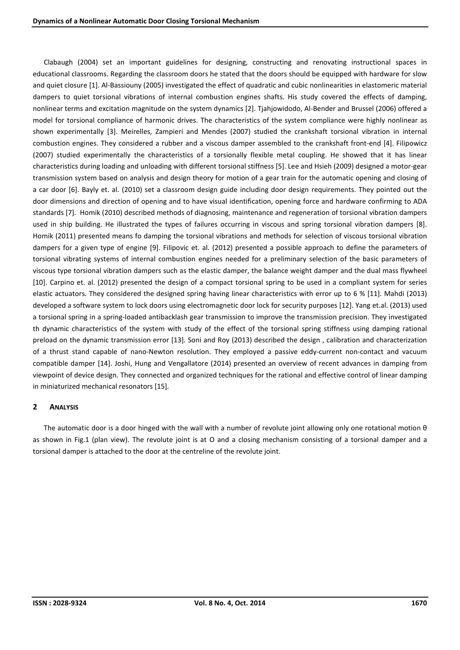Clabaugh (2004) set an important guidelines for designing, constructing and renovating instructional spaces in educational classrooms. Regarding the classroom doors he stated that the doors should be equipped with hardware for slow and quiet closure [1]. Al-Bassiouny (2005) investigated the effect of quadratic and cubic nonlinearities in elastomeric material dampers to quiet torsional vibrations of internal combustion engines shafts. His study covered the effects of damping, nonlinear terms and excitation magnitude on the system dynamics [2]. Tjahjowidodo, Al-Bender and Brussel (2006) offered a model for torsional compliance of harmonic drives. The characteristics of the system compliance were highly nonlinear as shown experimentally [3]. Meirelles, Zampieri and Mendes (2007) studied the crankshaft torsional vibration in internal combustion engines. They considered a rubber and a viscous damper assembled to the crankshaft front-end [4]. Filipowicz (2007) studied experimentally the characteristics of a torsionally flexible metal coupling. He showed that it has linear characteristics during loading and unloading with different torsional stiffness [5]. Lee and Hsieh (2009) designed a motor-gear transmission system based on analysis and design theory for motion of a gear train for the automatic opening and closing of a car door [6]. Bayly et. al. (2010) set a classroom design guide including door design requirements. They pointed out the door dimensions and direction of opening and to have visual identification, opening force and hardware confirming to ADA standards [7]. Homik (2010) described methods of diagnosing, maintenance and regeneration of torsional vibration dampers used in ship building. He illustrated the types of failures occurring in viscous and spring torsional vibration dampers [8]. Homik (2011) presented means fo damping the torsional vibrations and methods for selection of viscous torsional vibration dampers for a given type of engine [9]. Filipovic et. al. (2012) presented a possible approach to define the parameters of torsional vibrating systems of internal combustion engines needed for a preliminary selection of the basic parameters of viscous type torsional vibration dampers such as the elastic damper, the balance weight damper and the dual mass flywheel [10]. Carpino et. al. (2012) presented the design of a compact torsional spring to be used in a compliant system for series elastic actuators. They considered the designed spring having linear characteristics with error up to 6 % [11]. Mahdi (2013) developed a software system to lock doors using electromagnetic door lock for security purposes [12]. Yang et.al. (2013) used a torsional spring in a spring-loaded antibacklash gear transmission to improve the transmission precision. They investigated th dynamic characteristics of the system with study of the effect of the torsional spring stiffness using damping rational preload on the dynamic transmission error [13]. Soni and Roy (2013) described the design , calibration and characterization of a thrust stand capable of nano-Newton resolution. They employed a passive eddy-current non-contact and vacuum compatible damper [14]. Joshi, Hung and Vengallatore (2014) presented an overview of recent advances in damping from viewpoint of device design. They connected and organized techniques for the rational and effective control of linear damping in miniaturized mechanical resonators [15].

# 2 ANALYSIS

The automatic door is a door hinged with the wall with a number of revolute joint allowing only one rotational motion θ as shown in Fig.1 (plan view). The revolute joint is at O and a closing mechanism consisting of a torsional damper and a torsional damper is attached to the door at the centreline of the revolute joint.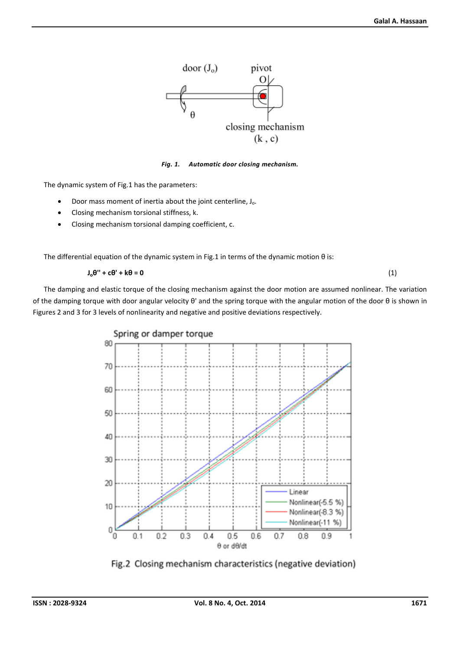

*Fig. 1. Automatic door closing mechanism.*

The dynamic system of Fig.1 has the parameters:

- $\bullet$  Door mass moment of inertia about the joint centerline,  $J_0$ .
- Closing mechanism torsional stiffness, k.
- Closing mechanism torsional damping coefficient, c.

The differential equation of the dynamic system in Fig.1 in terms of the dynamic motion θ is:

$$
J_0\theta'' + c\theta' + k\theta = 0
$$
 (1)

The damping and elastic torque of the closing mechanism against the door motion are assumed nonlinear. The variation of the damping torque with door angular velocity θ' and the spring torque with the angular motion of the door θ is shown in Figures 2 and 3 for 3 levels of nonlinearity and negative and positive deviations respectively.



Fig.2 Closing mechanism characteristics (negative deviation)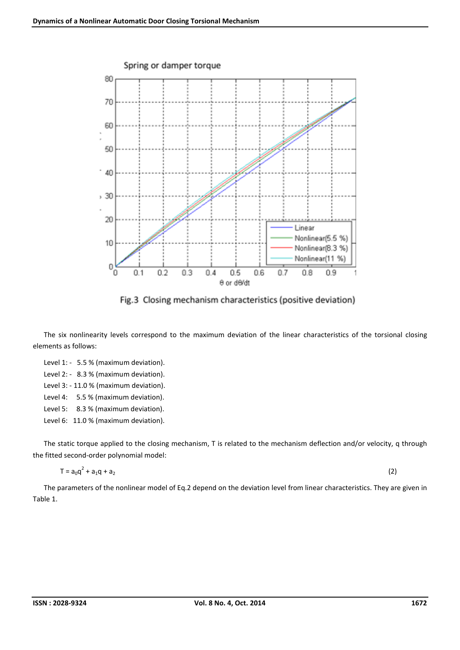

Fig.3 Closing mechanism characteristics (positive deviation)

The six nonlinearity levels correspond to the maximum deviation of the linear characteristics of the torsional closing elements as follows:

Level 1: - 5.5 % (maximum deviation). Level 2: - 8.3 % (maximum deviation). Level 3: - 11.0 % (maximum deviation). Level 4: 5.5 % (maximum deviation). Level 5: 8.3 % (maximum deviation). Level 6: 11.0 % (maximum deviation).

The static torque applied to the closing mechanism, T is related to the mechanism deflection and/or velocity, q through the fitted second-order polynomial model:

$$
T = a_0 q^2 + a_1 q + a_2 \tag{2}
$$

The parameters of the nonlinear model of Eq.2 depend on the deviation level from linear characteristics. They are given in Table 1.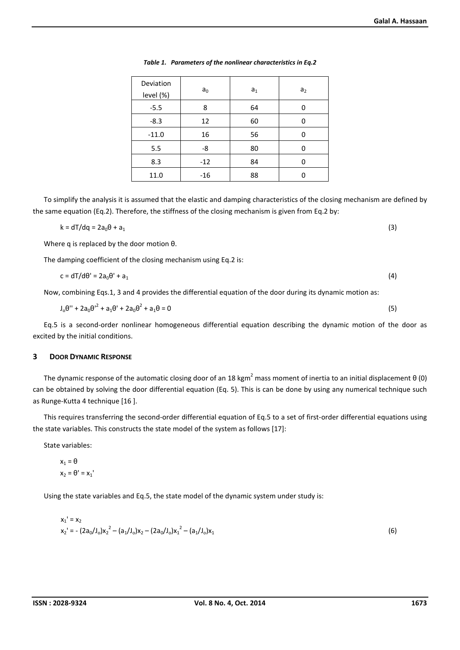| Deviation<br>level (%) | a <sub>0</sub> | a <sub>1</sub> | a <sub>2</sub> |
|------------------------|----------------|----------------|----------------|
| $-5.5$                 | 8              | 64             |                |
| $-8.3$                 | 12             | 60             |                |
| $-11.0$                | 16             | 56             | U              |
| 5.5                    | -8             | 80             | ŋ              |
| 8.3                    | $-12$          | 84             | ŋ              |
| 11.0                   | $-16$          | 88             |                |

*Table 1. Parameters of the nonlinear characteristics in Eq.2*

To simplify the analysis it is assumed that the elastic and damping characteristics of the closing mechanism are defined by the same equation (Eq.2). Therefore, the stiffness of the closing mechanism is given from Eq.2 by:

$$
k = dT/dq = 2a_0\theta + a_1
$$
 (3)

Where q is replaced by the door motion θ.

The damping coefficient of the closing mechanism using Eq.2 is:

$$
c = dT/d\theta' = 2a_0\theta' + a_1
$$
 (4)

Now, combining Eqs.1, 3 and 4 provides the differential equation of the door during its dynamic motion as:

$$
J_0\theta'' + 2a_0\theta'^2 + a_1\theta' + 2a_0\theta^2 + a_1\theta = 0
$$
\n(5)

Eq.5 is a second-order nonlinear homogeneous differential equation describing the dynamic motion of the door as excited by the initial conditions.

## 3 DOOR DYNAMIC RESPONSE

The dynamic response of the automatic closing door of an 18 kgm<sup>2</sup> mass moment of inertia to an initial displacement  $\theta$  (0) can be obtained by solving the door differential equation (Eq. 5). This is can be done by using any numerical technique such as Runge-Kutta 4 technique [16 ].

This requires transferring the second-order differential equation of Eq.5 to a set of first-order differential equations using the state variables. This constructs the state model of the system as follows [17]:

State variables:

$$
\begin{aligned} x_1 &= \theta \\ x_2 &= \theta' = x_1 \end{aligned}
$$

Using the state variables and Eq.5, the state model of the dynamic system under study is:

$$
x_1' = x_2
$$
  
\n
$$
x_2' = -(2a_0/J_0)x_2^2 - (a_1/J_0)x_2 - (2a_0/J_0)x_1^2 - (a_1/J_0)x_1
$$
\n(6)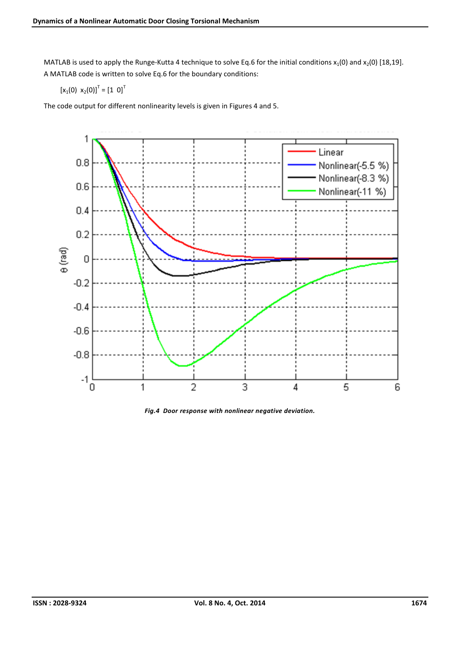MATLAB is used to apply the Runge-Kutta 4 technique to solve Eq.6 for the initial conditions  $x_1(0)$  and  $x_2(0)$  [18,19]. A MATLAB code is written to solve Eq.6 for the boundary conditions:

$$
[x_1(0) x_2(0)]^T = [1 0]^T
$$

The code output for different nonlinearity levels is given in Figures 4 and 5.



*Fig.4 Door response with nonlinear negative deviation.*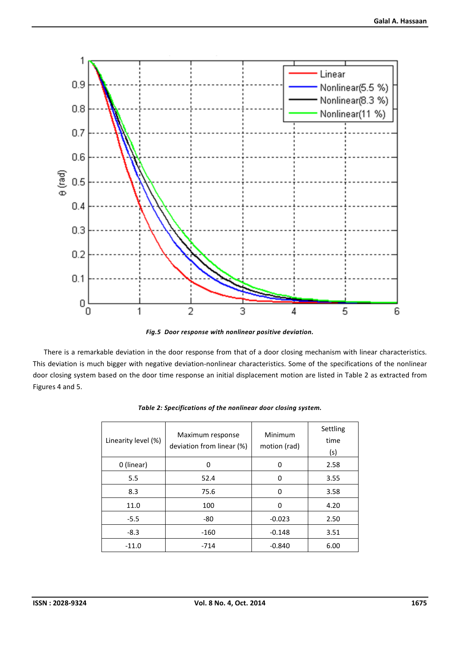

*Fig.5 Door response with nonlinear positive deviation.*

There is a remarkable deviation in the door response from that of a door closing mechanism with linear characteristics. This deviation is much bigger with negative deviation-nonlinear characteristics. Some of the specifications of the nonlinear door closing system based on the door time response an initial displacement motion are listed in Table 2 as extracted from Figures 4 and 5.

| Linearity level (%) | Maximum response<br>deviation from linear (%) | Minimum<br>motion (rad) | Settling<br>time<br>(s) |
|---------------------|-----------------------------------------------|-------------------------|-------------------------|
| 0 (linear)          | O                                             | 0                       | 2.58                    |
| 5.5                 | 52.4                                          | 0                       | 3.55                    |
| 8.3                 | 75.6                                          | 0                       | 3.58                    |
| 11.0                | 100                                           | 0                       | 4.20                    |
| $-5.5$              | $-80$                                         | $-0.023$                | 2.50                    |
| $-8.3$              | $-160$                                        | $-0.148$                | 3.51                    |
| $-11.0$             | $-714$                                        | $-0.840$                | 6.00                    |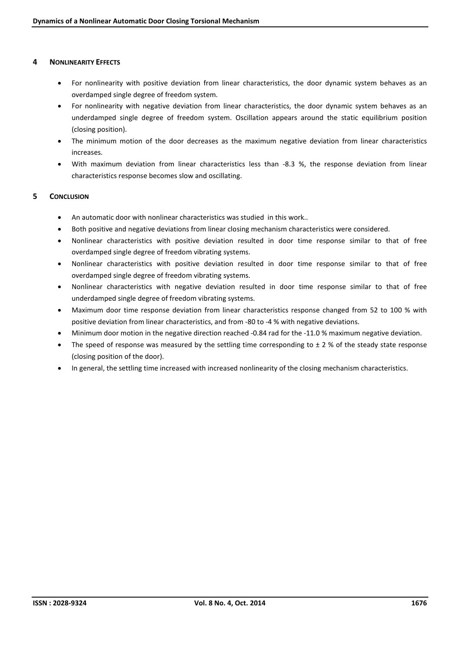## 4 NONLINEARITY EFFECTS

- For nonlinearity with positive deviation from linear characteristics, the door dynamic system behaves as an overdamped single degree of freedom system.
- For nonlinearity with negative deviation from linear characteristics, the door dynamic system behaves as an underdamped single degree of freedom system. Oscillation appears around the static equilibrium position (closing position).
- The minimum motion of the door decreases as the maximum negative deviation from linear characteristics increases.
- With maximum deviation from linear characteristics less than -8.3 %, the response deviation from linear characteristics response becomes slow and oscillating.

### 5 CONCLUSION

- An automatic door with nonlinear characteristics was studied in this work..
- Both positive and negative deviations from linear closing mechanism characteristics were considered.
- Nonlinear characteristics with positive deviation resulted in door time response similar to that of free overdamped single degree of freedom vibrating systems.
- Nonlinear characteristics with positive deviation resulted in door time response similar to that of free overdamped single degree of freedom vibrating systems.
- Nonlinear characteristics with negative deviation resulted in door time response similar to that of free underdamped single degree of freedom vibrating systems.
- Maximum door time response deviation from linear characteristics response changed from 52 to 100 % with positive deviation from linear characteristics, and from -80 to -4 % with negative deviations.
- Minimum door motion in the negative direction reached -0.84 rad for the -11.0 % maximum negative deviation.
- The speed of response was measured by the settling time corresponding to  $\pm$  2 % of the steady state response (closing position of the door).
- In general, the settling time increased with increased nonlinearity of the closing mechanism characteristics.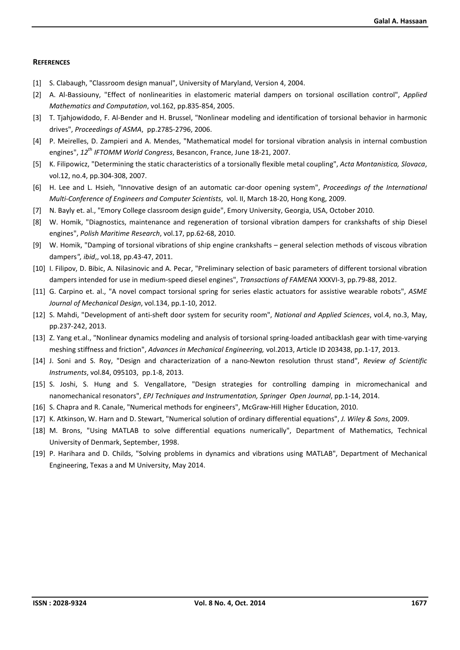#### **REFERENCES**

- [1] S. Clabaugh, "Classroom design manual", University of Maryland, Version 4, 2004.
- [2] A. Al-Bassiouny, "Effect of nonlinearities in elastomeric material dampers on torsional oscillation control", *Applied Mathematics and Computation*, vol.162, pp.835-854, 2005.
- [3] T. Tjahjowidodo, F. Al-Bender and H. Brussel, "Nonlinear modeling and identification of torsional behavior in harmonic drives", *Proceedings of ASMA*, pp.2785-2796, 2006.
- [4] P. Meirelles, D. Zampieri and A. Mendes, "Mathematical model for torsional vibration analysis in internal combustion engines", *12th IFTOMM World Congress*, Besancon, France, June 18-21, 2007.
- [5] K. Filipowicz, "Determining the static characteristics of a torsionally flexible metal coupling", *Acta Montanistica, Slovaca*, vol.12, no.4, pp.304-308, 2007.
- [6] H. Lee and L. Hsieh, "Innovative design of an automatic car-door opening system", *Proceedings of the International Multi-Conference of Engineers and Computer Scientists*, vol. II, March 18-20, Hong Kong, 2009.
- [7] N. Bayly et. al., "Emory College classroom design guide", Emory University, Georgia, USA, October 2010.
- [8] W. Homik, "Diagnostics, maintenance and regeneration of torsional vibration dampers for crankshafts of ship Diesel engines", *Polish Maritime Research*, vol.17, pp.62-68, 2010.
- [9] W. Homik, "Damping of torsional vibrations of ship engine crankshafts general selection methods of viscous vibration dampers*", ibid*,, vol.18, pp.43-47, 2011.
- [10] I. Filipov, D. Bibic, A. Nilasinovic and A. Pecar, "Preliminary selection of basic parameters of different torsional vibration dampers intended for use in medium-speed diesel engines", *Transactions of FAMENA* XXXVI-3, pp.79-88, 2012.
- [11] G. Carpino et. al., "A novel compact torsional spring for series elastic actuators for assistive wearable robots", *ASME Journal of Mechanical Design*, vol.134, pp.1-10, 2012.
- [12] S. Mahdi, "Development of anti-sheft door system for security room", *National and Applied Sciences*, vol.4, no.3, May, pp.237-242, 2013.
- [13] Z. Yang et.al., "Nonlinear dynamics modeling and analysis of torsional spring-loaded antibacklash gear with time-varying meshing stiffness and friction", *Advances in Mechanical Engineering,* vol.2013, Article ID 203438, pp.1-17, 2013.
- [14] J. Soni and S. Roy, "Design and characterization of a nano-Newton resolution thrust stand", *Review of Scientific Instruments*, vol.84, 095103, pp.1-8, 2013.
- [15] S. Joshi, S. Hung and S. Vengallatore, "Design strategies for controlling damping in micromechanical and nanomechanical resonators", *EPJ Techniques and Instrumentation, Springer Open Journal*, pp.1-14, 2014.
- [16] S. Chapra and R. Canale, "Numerical methods for engineers", McGraw-Hill Higher Education, 2010.
- [17] K. Atkinson, W. Harn and D. Stewart, "Numerical solution of ordinary differential equations", *J. Wiley & Sons*, 2009.
- [18] M. Brons, "Using MATLAB to solve differential equations numerically", Department of Mathematics, Technical University of Denmark, September, 1998.
- [19] P. Harihara and D. Childs, "Solving problems in dynamics and vibrations using MATLAB", Department of Mechanical Engineering, Texas a and M University, May 2014.